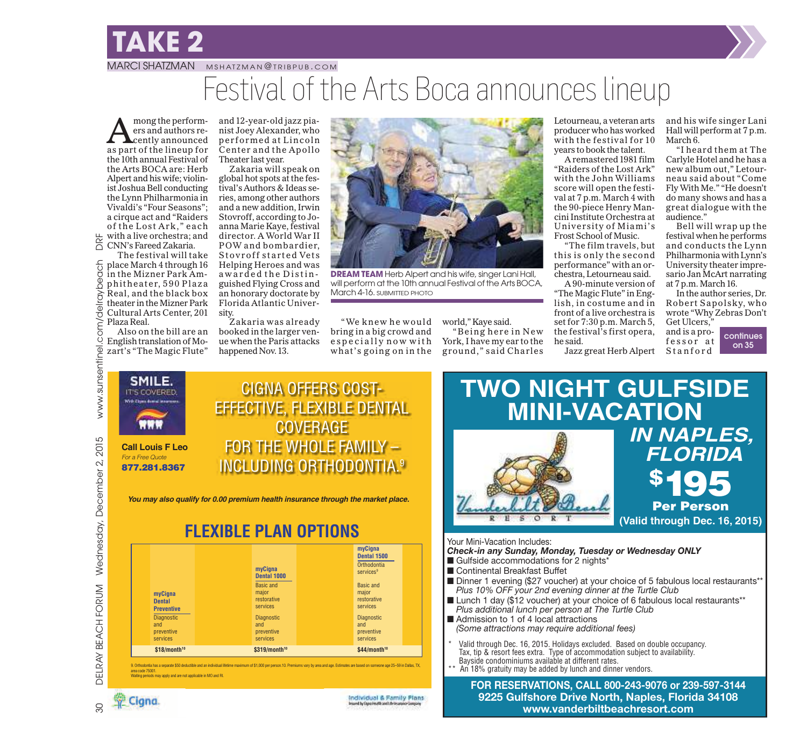## **TAKE 2**

### MARCI SHATZMAN MSHATZMAN@ TRIBPUB.COM Festival of the Arts Boca announces lineup

mong the perform-<br>ers and authors re-<br>as part of the lineup for mong the performers and authors recently announced the10th annual Festival of the Arts BOCA are: Herb Alpert and his wife; violinist Joshua Bell conducting the Lynn Philharmonia in Vivaldi's "Four Seasons"; a cirque act and "Raiders of the Lost Ark," each<br>with a live orchestra; and with a live orchestra; and CNN's Fareed Zakaria.

The festival will take place March 4 through16 in the Mizner Park Amphitheater, 590 Plaza Real, and the black box theater in the Mizner Park Cultural Arts Center, 201 Plaza Real.

Also on the bill are an English translation of Mozart's "The Magic Flute" and 12-year-old jazz pianist Joey Alexander, who performed at Lincoln Center and the Apollo Theater last year.

Zakaria will speak on global hot spots at the festival's Authors & Ideas series, among other authors and a new addition, Irwin Stovroff, according to Joanna Marie Kaye, festival director. A World War II POW and bombardier, Stovroff started Vets Helping Heroes and was awarded the Distinguished Flying Cross and an honorary doctorate by Florida Atlantic University.

Zakaria was already booked in the larger venue when the Paris attacks happened Nov.13.



**DREAM TEAM** Herb Alpert and his wife, singer Lani Hall, will perform at the 10th annual Festival of the Arts BOCA, March 4-16. SUBMITTED PHOTO

" We knew he would bring in a big crowd and especially now with what's going on in the

world," Kaye said. "Being here in New York, I have my ear to the ground," said Charles Letourneau, a veteran arts producer who has worked with the festival for 10 years to book the talent.

A remastered1981 film "Raiders of the Lost Ark" with the John Williams score will open the festival at 7 p.m. March 4 with the 90-piece Henry Mancini Institute Orchestra at University of Miami's Frost School of Music.

"The film travels, but this is only the second performance" with an orchestra, Letourneau said.

A 90-minute version of "The Magic Flute" in English, in costume and in front of a live orchestra is set for 7:30 p.m. March 5, the festival's first opera, he said.

Jazz great Herb Alpert Stanford

and his wife singer Lani Hall will perform at 7 p.m. March 6.

"I heard them at The Carlyle Hotel and he has a new album out," Letourneau said about "Come Fly With Me." "He doesn't do many shows and has a great dialogue with the audience."

Bell will wrap up the festival when he performs and conducts the Lynn Philharmonia with Lynn's University theater impresario Jan McArt narrating at 7 p.m. March 16.

In the author series, Dr. Robert Sapolsky, who wrote "Why Zebras Don't Get Ulcers,"

and is a professor at

continues on 35



You may also qualify for 0.00 premium health insurance through the market place.

### **FLEXIBLE PLAN OPTIONS**

| myCigna<br><b>Dental</b><br><b>Preventive</b><br><b>Diagnostic</b><br>and<br>preventive<br>services | myCigna<br>Dental 1000<br><b>Basic and</b><br>major<br>restorative<br>services<br><b>Diagnostic</b><br>and<br>preventive<br>services | myCigna<br>Dental 1500<br>Orthodontia<br>services <sup>9</sup><br>Basic and<br>major<br>restorative<br>services<br><b>Diagnostic</b><br>and<br>preventive<br>services |  |
|-----------------------------------------------------------------------------------------------------|--------------------------------------------------------------------------------------------------------------------------------------|-----------------------------------------------------------------------------------------------------------------------------------------------------------------------|--|
| $$18/m$ onth <sup>10</sup>                                                                          | \$319/month <sup>10</sup>                                                                                                            | $$44/m$ onth <sup>10</sup>                                                                                                                                            |  |

9. Orthodontia has a separate \$50 deductible and an individual lifetime maximum of \$1,000 per person.10. Premiums vary by area and age. Estimates are based on someone age 25–59 in Dallas, TX,<br>area code 75001. Waiting periods may apply and are not applicable in MO and RI.





Individual & Family Plans



Your Mini-Vacation Includes:

- *Check-in any Sunday, Monday, Tuesday or Wednesday ONLY*
- Gulfside accommodations for 2 nights\*
- Continental Breakfast Buffet
- Dinner 1 evening (\$27 voucher) at your choice of 5 fabulous local restaurants\*\* *Plus 10% OFF your 2nd evening dinner at the Turtle Club*
- Lunch 1 day (\$12 voucher) at your choice of 6 fabulous local restaurants\*\* *Plus additional lunch per person at The Turtle Club*
- Admission to 1 of 4 local attractions *(Some attractions may require additional fees)*
- Valid through Dec. 16, 2015. Holidays excluded. Based on double occupancy. Tax, tip & resort fees extra. Type of accommodation subject to availability. Bayside condominiums available at different rates.
- An 18% gratuity may be added by lunch and dinner vendors.

**FOR RESERVATIONS, CALL 800-243-9076 or 239-597-3144 9225 Gulfshore Drive North, Naples, Florida 34108 www.vanderbiltbeachresort.com**